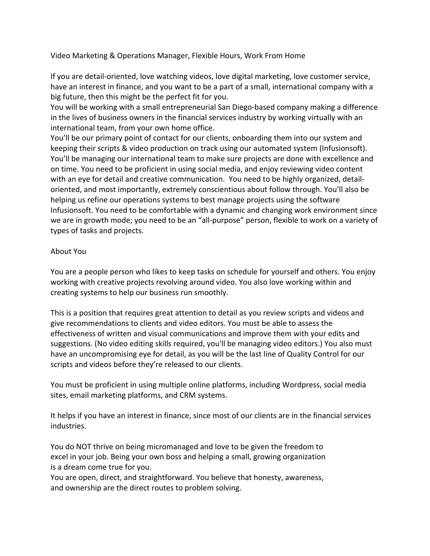Video Marketing & Operations Manager, Flexible Hours, Work From Home

If you are detail‐oriented, love watching videos, love digital marketing, love customer service, have an interest in finance, and you want to be a part of a small, international company with a big future, then this might be the perfect fit for you.

You will be working with a small entrepreneurial San Diego‐based company making a difference in the lives of business owners in the financial services industry by working virtually with an international team, from your own home office.

You'll be our primary point of contact for our clients, onboarding them into our system and keeping their scripts & video production on track using our automated system (Infusionsoft). You'll be managing our international team to make sure projects are done with excellence and on time. You need to be proficient in using social media, and enjoy reviewing video content with an eye for detail and creative communication. You need to be highly organized, detail‐ oriented, and most importantly, extremely conscientious about follow through. You'll also be helping us refine our operations systems to best manage projects using the software Infusionsoft. You need to be comfortable with a dynamic and changing work environment since we are in growth mode; you need to be an "all-purpose" person, flexible to work on a variety of types of tasks and projects.

### About You

You are a people person who likes to keep tasks on schedule for yourself and others. You enjoy working with creative projects revolving around video. You also love working within and creating systems to help our business run smoothly.

This is a position that requires great attention to detail as you review scripts and videos and give recommendations to clients and video editors. You must be able to assess the effectiveness of written and visual communications and improve them with your edits and suggestions. (No video editing skills required, you'll be managing video editors.) You also must have an uncompromising eye for detail, as you will be the last line of Quality Control for our scripts and videos before they're released to our clients.

You must be proficient in using multiple online platforms, including Wordpress, social media sites, email marketing platforms, and CRM systems.

It helps if you have an interest in finance, since most of our clients are in the financial services industries.

You do NOT thrive on being micromanaged and love to be given the freedom to excel in your job. Being your own boss and helping a small, growing organization is a dream come true for you.

You are open, direct, and straightforward. You believe that honesty, awareness, and ownership are the direct routes to problem solving.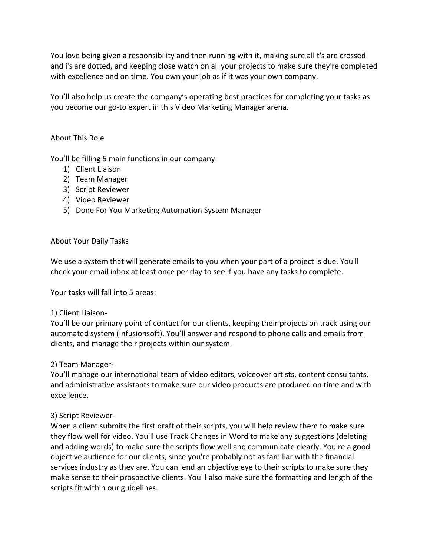You love being given a responsibility and then running with it, making sure all t's are crossed and i's are dotted, and keeping close watch on all your projects to make sure they're completed with excellence and on time. You own your job as if it was your own company.

You'll also help us create the company's operating best practices for completing your tasks as you become our go‐to expert in this Video Marketing Manager arena.

### About This Role

You'll be filling 5 main functions in our company:

- 1) Client Liaison
- 2) Team Manager
- 3) Script Reviewer
- 4) Video Reviewer
- 5) Done For You Marketing Automation System Manager

### About Your Daily Tasks

We use a system that will generate emails to you when your part of a project is due. You'll check your email inbox at least once per day to see if you have any tasks to complete.

Your tasks will fall into 5 areas:

### 1) Client Liaison‐

You'll be our primary point of contact for our clients, keeping their projects on track using our automated system (Infusionsoft). You'll answer and respond to phone calls and emails from clients, and manage their projects within our system.

## 2) Team Manager‐

You'll manage our international team of video editors, voiceover artists, content consultants, and administrative assistants to make sure our video products are produced on time and with excellence.

### 3) Script Reviewer‐

When a client submits the first draft of their scripts, you will help review them to make sure they flow well for video. You'll use Track Changes in Word to make any suggestions (deleting and adding words) to make sure the scripts flow well and communicate clearly. You're a good objective audience for our clients, since you're probably not as familiar with the financial services industry as they are. You can lend an objective eye to their scripts to make sure they make sense to their prospective clients. You'll also make sure the formatting and length of the scripts fit within our guidelines.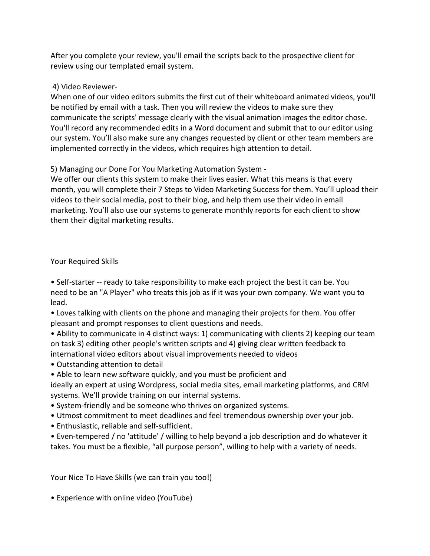After you complete your review, you'll email the scripts back to the prospective client for review using our templated email system.

## 4) Video Reviewer‐

When one of our video editors submits the first cut of their whiteboard animated videos, you'll be notified by email with a task. Then you will review the videos to make sure they communicate the scripts' message clearly with the visual animation images the editor chose. You'll record any recommended edits in a Word document and submit that to our editor using our system. You'll also make sure any changes requested by client or other team members are implemented correctly in the videos, which requires high attention to detail.

5) Managing our Done For You Marketing Automation System ‐

We offer our clients this system to make their lives easier. What this means is that every month, you will complete their 7 Steps to Video Marketing Success for them. You'll upload their videos to their social media, post to their blog, and help them use their video in email marketing. You'll also use our systems to generate monthly reports for each client to show them their digital marketing results.

# Your Required Skills

• Self-starter -- ready to take responsibility to make each project the best it can be. You need to be an "A Player" who treats this job as if it was your own company. We want you to lead.

• Loves talking with clients on the phone and managing their projects for them. You offer pleasant and prompt responses to client questions and needs.

• Ability to communicate in 4 distinct ways: 1) communicating with clients 2) keeping our team on task 3) editing other people's written scripts and 4) giving clear written feedback to international video editors about visual improvements needed to videos

• Outstanding attention to detail

• Able to learn new software quickly, and you must be proficient and

ideally an expert at using Wordpress, social media sites, email marketing platforms, and CRM systems. We'll provide training on our internal systems.

- System‐friendly and be someone who thrives on organized systems.
- Utmost commitment to meet deadlines and feel tremendous ownership over your job.
- Enthusiastic, reliable and self‐sufficient.

• Even-tempered / no 'attitude' / willing to help beyond a job description and do whatever it takes. You must be a flexible, "all purpose person", willing to help with a variety of needs.

Your Nice To Have Skills (we can train you too!)

• Experience with online video (YouTube)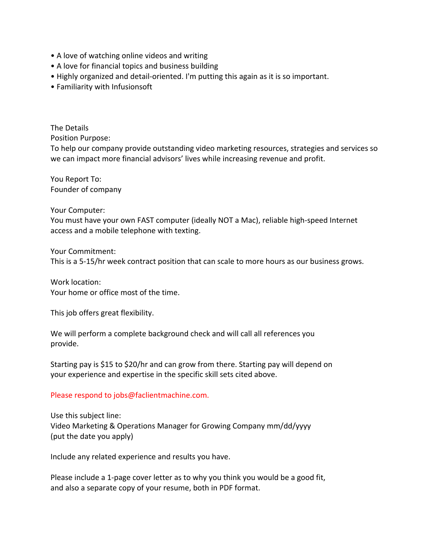- A love of watching online videos and writing
- A love for financial topics and business building
- Highly organized and detail-oriented. I'm putting this again as it is so important.
- Familiarity with Infusionsoft

The Details Position Purpose:

To help our company provide outstanding video marketing resources, strategies and services so we can impact more financial advisors' lives while increasing revenue and profit.

You Report To: Founder of company

Your Computer:

You must have your own FAST computer (ideally NOT a Mac), reliable high‐speed Internet access and a mobile telephone with texting.

Your Commitment: This is a 5‐15/hr week contract position that can scale to more hours as our business grows.

Work location: Your home or office most of the time.

This job offers great flexibility.

We will perform a complete background check and will call all references you provide.

Starting pay is \$15 to \$20/hr and can grow from there. Starting pay will depend on your experience and expertise in the specific skill sets cited above.

### Please respond to jobs@faclientmachine.com.

Use this subject line: Video Marketing & Operations Manager for Growing Company mm/dd/yyyy (put the date you apply)

Include any related experience and results you have.

Please include a 1‐page cover letter as to why you think you would be a good fit, and also a separate copy of your resume, both in PDF format.